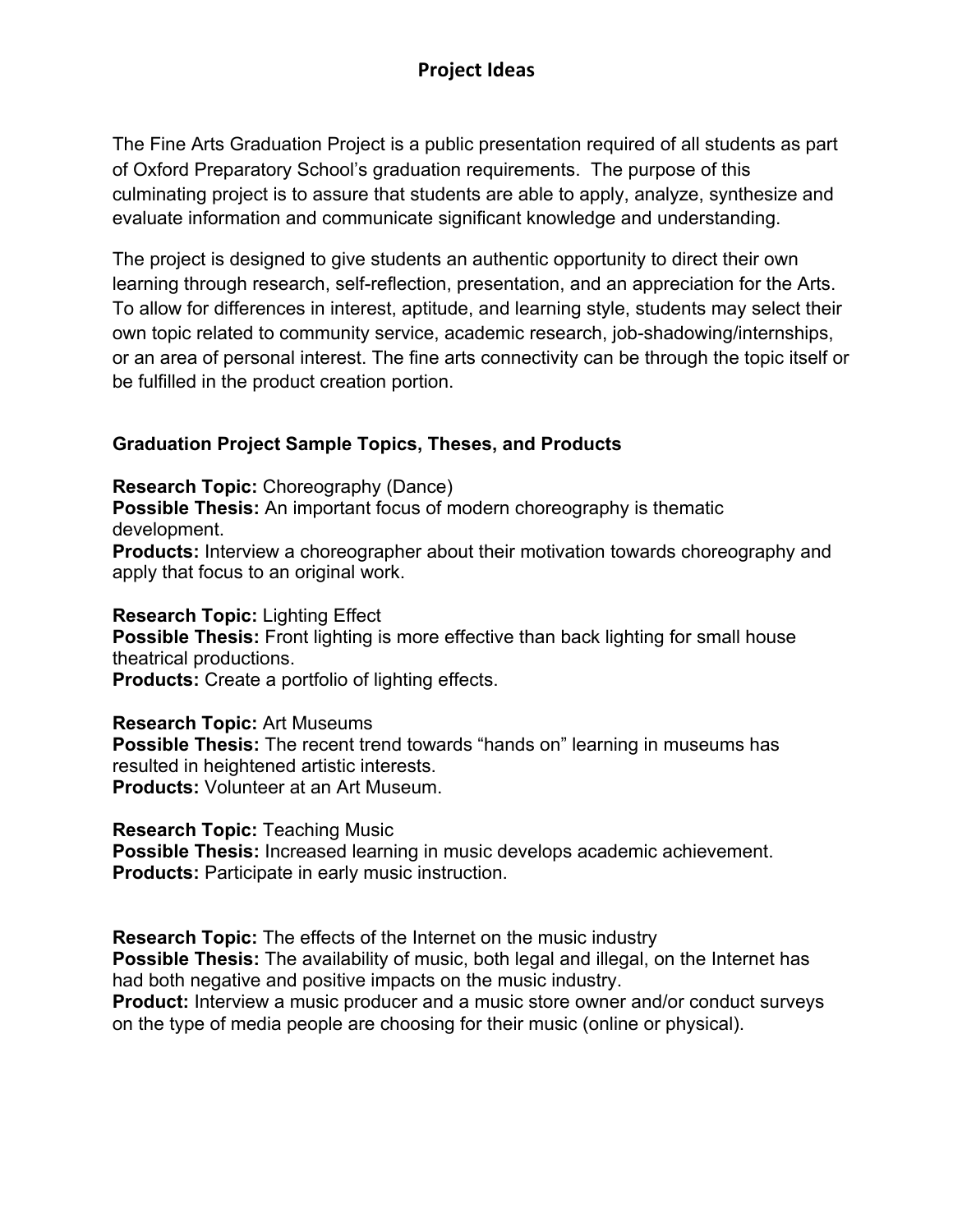The Fine Arts Graduation Project is a public presentation required of all students as part of Oxford Preparatory School's graduation requirements. The purpose of this culminating project is to assure that students are able to apply, analyze, synthesize and evaluate information and communicate significant knowledge and understanding.

The project is designed to give students an authentic opportunity to direct their own learning through research, self-reflection, presentation, and an appreciation for the Arts. To allow for differences in interest, aptitude, and learning style, students may select their own topic related to community service, academic research, job-shadowing/internships, or an area of personal interest. The fine arts connectivity can be through the topic itself or be fulfilled in the product creation portion.

### **Graduation Project Sample Topics, Theses, and Products**

**Research Topic:** Choreography (Dance)

**Possible Thesis:** An important focus of modern choreography is thematic development.

**Products:** Interview a choreographer about their motivation towards choreography and apply that focus to an original work.

### **Research Topic:** Lighting Effect

**Possible Thesis:** Front lighting is more effective than back lighting for small house theatrical productions.

**Products:** Create a portfolio of lighting effects.

#### **Research Topic:** Art Museums

**Possible Thesis:** The recent trend towards "hands on" learning in museums has resulted in heightened artistic interests. **Products:** Volunteer at an Art Museum.

#### **Research Topic:** Teaching Music

**Possible Thesis:** Increased learning in music develops academic achievement. **Products:** Participate in early music instruction.

**Research Topic:** The effects of the Internet on the music industry

**Possible Thesis:** The availability of music, both legal and illegal, on the Internet has had both negative and positive impacts on the music industry.

**Product:** Interview a music producer and a music store owner and/or conduct surveys on the type of media people are choosing for their music (online or physical).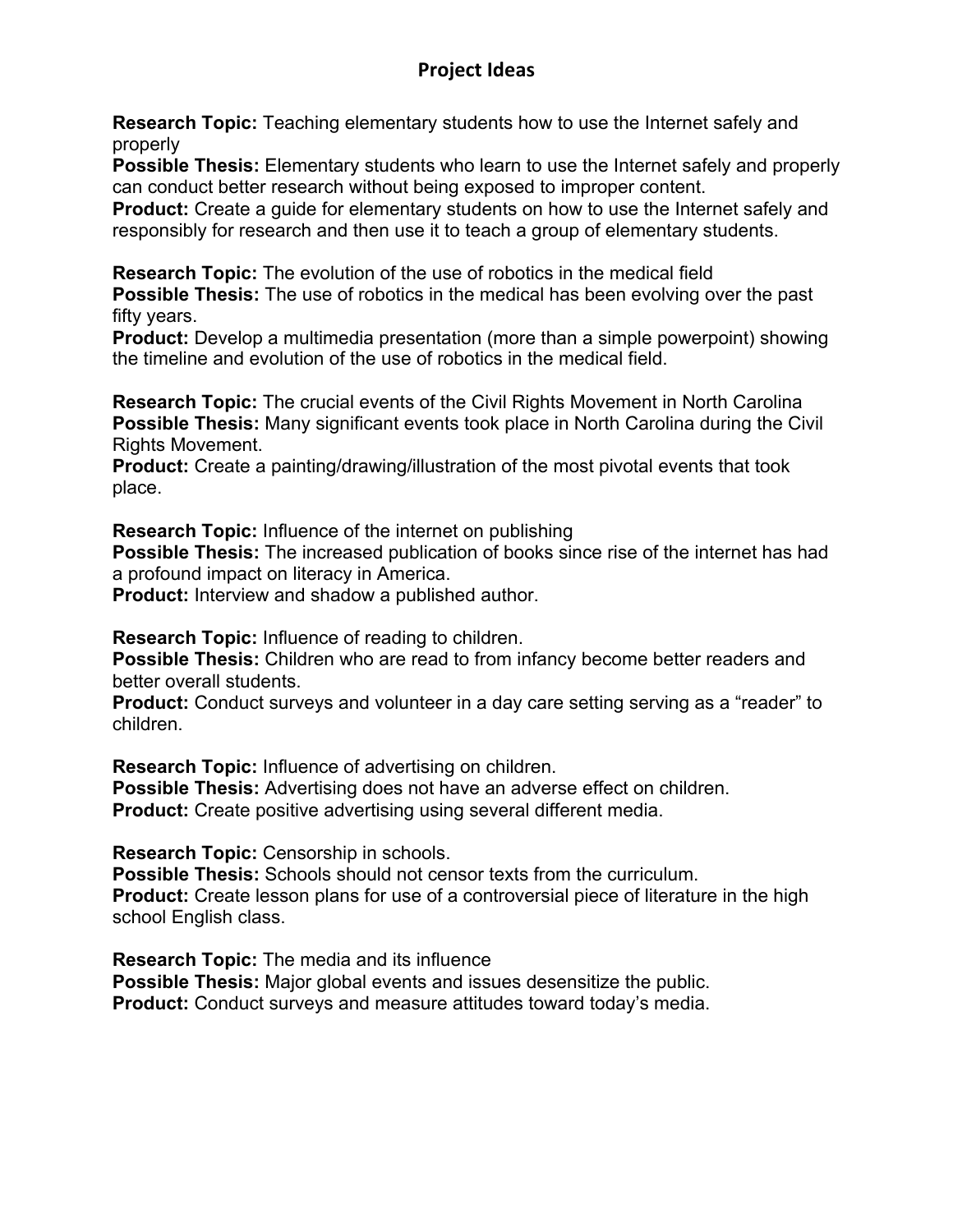# **Project Ideas**

**Research Topic:** Teaching elementary students how to use the Internet safely and properly

**Possible Thesis:** Elementary students who learn to use the Internet safely and properly can conduct better research without being exposed to improper content.

**Product:** Create a guide for elementary students on how to use the Internet safely and responsibly for research and then use it to teach a group of elementary students.

**Research Topic:** The evolution of the use of robotics in the medical field **Possible Thesis:** The use of robotics in the medical has been evolving over the past fifty years.

**Product:** Develop a multimedia presentation (more than a simple powerpoint) showing the timeline and evolution of the use of robotics in the medical field.

**Research Topic:** The crucial events of the Civil Rights Movement in North Carolina **Possible Thesis:** Many significant events took place in North Carolina during the Civil Rights Movement.

**Product:** Create a painting/drawing/illustration of the most pivotal events that took place.

**Research Topic:** Influence of the internet on publishing

**Possible Thesis:** The increased publication of books since rise of the internet has had a profound impact on literacy in America.

**Product:** Interview and shadow a published author.

**Research Topic:** Influence of reading to children.

**Possible Thesis:** Children who are read to from infancy become better readers and better overall students.

**Product:** Conduct surveys and volunteer in a day care setting serving as a "reader" to children.

**Research Topic:** Influence of advertising on children.

**Possible Thesis:** Advertising does not have an adverse effect on children.

**Product:** Create positive advertising using several different media.

**Research Topic:** Censorship in schools.

**Possible Thesis:** Schools should not censor texts from the curriculum. **Product:** Create lesson plans for use of a controversial piece of literature in the high school English class.

**Research Topic:** The media and its influence **Possible Thesis:** Major global events and issues desensitize the public. **Product:** Conduct surveys and measure attitudes toward today's media.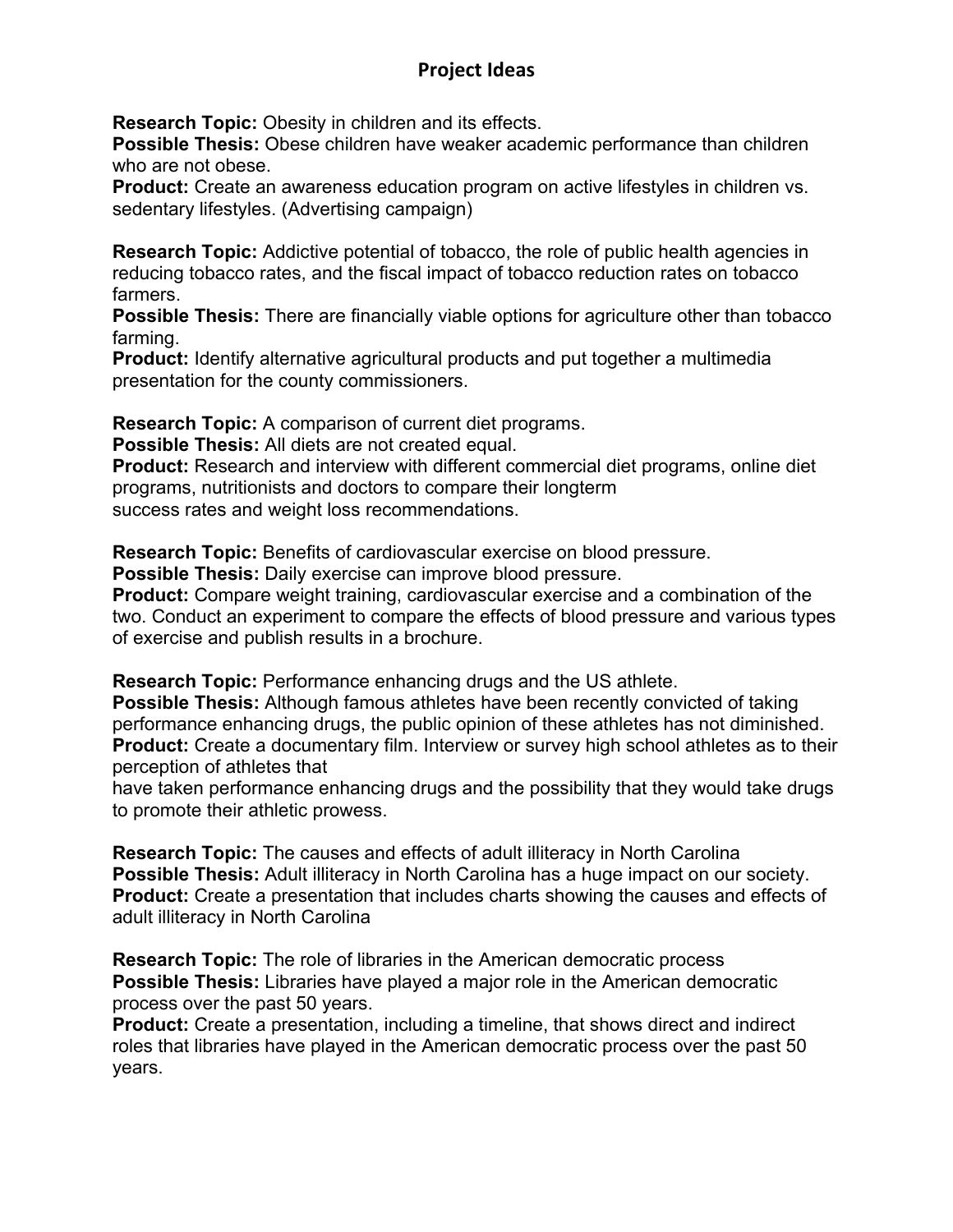# **Project Ideas**

**Research Topic:** Obesity in children and its effects.

**Possible Thesis:** Obese children have weaker academic performance than children who are not obese.

**Product:** Create an awareness education program on active lifestyles in children vs. sedentary lifestyles. (Advertising campaign)

**Research Topic:** Addictive potential of tobacco, the role of public health agencies in reducing tobacco rates, and the fiscal impact of tobacco reduction rates on tobacco farmers.

**Possible Thesis:** There are financially viable options for agriculture other than tobacco farming.

**Product:** Identify alternative agricultural products and put together a multimedia presentation for the county commissioners.

**Research Topic:** A comparison of current diet programs.

**Possible Thesis:** All diets are not created equal.

**Product:** Research and interview with different commercial diet programs, online diet programs, nutritionists and doctors to compare their longterm success rates and weight loss recommendations.

**Research Topic:** Benefits of cardiovascular exercise on blood pressure.

**Possible Thesis:** Daily exercise can improve blood pressure.

**Product:** Compare weight training, cardiovascular exercise and a combination of the two. Conduct an experiment to compare the effects of blood pressure and various types of exercise and publish results in a brochure.

**Research Topic:** Performance enhancing drugs and the US athlete.

**Possible Thesis:** Although famous athletes have been recently convicted of taking performance enhancing drugs, the public opinion of these athletes has not diminished. **Product:** Create a documentary film. Interview or survey high school athletes as to their perception of athletes that

have taken performance enhancing drugs and the possibility that they would take drugs to promote their athletic prowess.

**Research Topic:** The causes and effects of adult illiteracy in North Carolina **Possible Thesis:** Adult illiteracy in North Carolina has a huge impact on our society. **Product:** Create a presentation that includes charts showing the causes and effects of adult illiteracy in North Carolina

**Research Topic:** The role of libraries in the American democratic process **Possible Thesis:** Libraries have played a major role in the American democratic process over the past 50 years.

**Product:** Create a presentation, including a timeline, that shows direct and indirect roles that libraries have played in the American democratic process over the past 50 years.